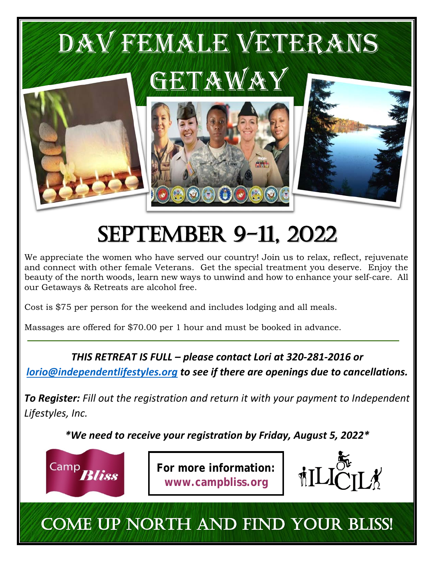

## September 9-11, 2022

We appreciate the women who have served our country! Join us to relax, reflect, rejuvenate and connect with other female Veterans. Get the special treatment you deserve. Enjoy the beauty of the north woods, learn new ways to unwind and how to enhance your self-care. All our Getaways & Retreats are alcohol free.

Cost is \$75 per person for the weekend and includes lodging and all meals.

Massages are offered for \$70.00 per 1 hour and must be booked in advance.

## *THIS RETREAT IS FULL – please contact Lori at 320-281-2016 or [lorio@independentlifestyles.org](mailto:lorio@independentlifestyles.org) to see if there are openings due to cancellations.*

*To Register: Fill out the registration and return it with your payment to Independent Lifestyles, Inc.* 

*\*We need to receive your registration by Friday, August 5, 2022\**